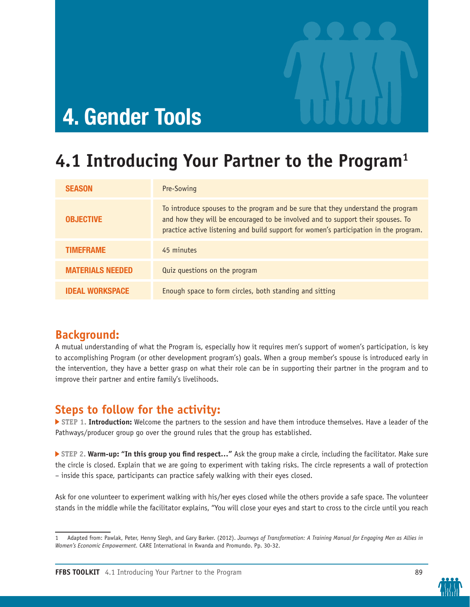

# **4. Gender Tools**

# **4.1 Introducing Your Partner to the Program1**

| <b>SEASON</b>           | Pre-Sowing                                                                                                                                                                                                                                                   |
|-------------------------|--------------------------------------------------------------------------------------------------------------------------------------------------------------------------------------------------------------------------------------------------------------|
| <b>OBJECTIVE</b>        | To introduce spouses to the program and be sure that they understand the program<br>and how they will be encouraged to be involved and to support their spouses. To<br>practice active listening and build support for women's participation in the program. |
| <b>TIMEFRAME</b>        | 45 minutes                                                                                                                                                                                                                                                   |
| <b>MATERIALS NEEDED</b> | Quiz questions on the program                                                                                                                                                                                                                                |
| <b>IDEAL WORKSPACE</b>  | Enough space to form circles, both standing and sitting                                                                                                                                                                                                      |

### **Background:**

A mutual understanding of what the Program is, especially how it requires men's support of women's participation, is key to accomplishing Program (or other development program's) goals. When a group member's spouse is introduced early in the intervention, they have a better grasp on what their role can be in supporting their partner in the program and to improve their partner and entire family's livelihoods.

### **Steps to follow for the activity:**

 **STEP 1. Introduction:** Welcome the partners to the session and have them introduce themselves. Have a leader of the Pathways/producer group go over the ground rules that the group has established.

 **STEP 2. Warm-up: "In this group you find respect…"** Ask the group make a circle, including the facilitator. Make sure the circle is closed. Explain that we are going to experiment with taking risks. The circle represents a wall of protection – inside this space, participants can practice safely walking with their eyes closed.

Ask for one volunteer to experiment walking with his/her eyes closed while the others provide a safe space. The volunteer stands in the middle while the facilitator explains, "You will close your eyes and start to cross to the circle until you reach





<sup>1</sup> Adapted from: Pawlak, Peter, Henny Slegh, and Gary Barker. (2012). *Journeys of Transformation: A Training Manual for Engaging Men as Allies in Women's Economic Empowerment.* CARE International in Rwanda and Promundo. Pp. 30-32.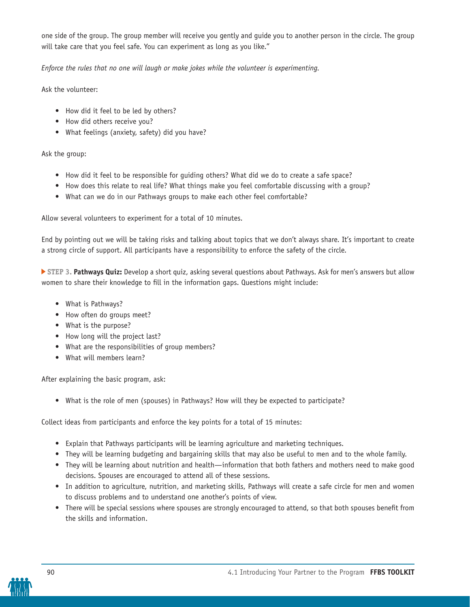one side of the group. The group member will receive you gently and guide you to another person in the circle. The group will take care that you feel safe. You can experiment as long as you like."

*Enforce the rules that no one will laugh or make jokes while the volunteer is experimenting.*

Ask the volunteer:

- How did it feel to be led by others?
- How did others receive you?
- What feelings (anxiety, safety) did you have?

Ask the group:

- How did it feel to be responsible for guiding others? What did we do to create a safe space?
- How does this relate to real life? What things make you feel comfortable discussing with a group?
- What can we do in our Pathways groups to make each other feel comfortable?

Allow several volunteers to experiment for a total of 10 minutes.

End by pointing out we will be taking risks and talking about topics that we don't always share. It's important to create a strong circle of support. All participants have a responsibility to enforce the safety of the circle.

 **STEP 3. Pathways Quiz:** Develop a short quiz, asking several questions about Pathways. Ask for men's answers but allow women to share their knowledge to fill in the information gaps. Questions might include:

- What is Pathways?
- How often do groups meet?
- What is the purpose?
- How long will the project last?
- What are the responsibilities of group members?
- What will members learn?

After explaining the basic program, ask:

• What is the role of men (spouses) in Pathways? How will they be expected to participate?

Collect ideas from participants and enforce the key points for a total of 15 minutes:

- Explain that Pathways participants will be learning agriculture and marketing techniques.
- They will be learning budgeting and bargaining skills that may also be useful to men and to the whole family.
- They will be learning about nutrition and health—information that both fathers and mothers need to make good decisions. Spouses are encouraged to attend all of these sessions.
- In addition to agriculture, nutrition, and marketing skills, Pathways will create a safe circle for men and women to discuss problems and to understand one another's points of view.
- There will be special sessions where spouses are strongly encouraged to attend, so that both spouses benefit from the skills and information.

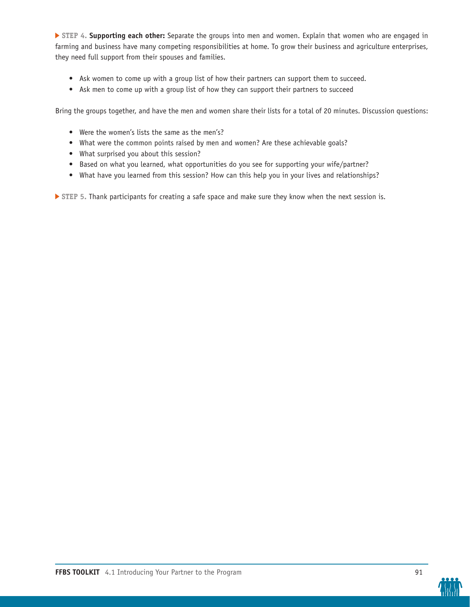**STEP 4. Supporting each other:** Separate the groups into men and women. Explain that women who are engaged in farming and business have many competing responsibilities at home. To grow their business and agriculture enterprises, they need full support from their spouses and families.

- Ask women to come up with a group list of how their partners can support them to succeed.
- Ask men to come up with a group list of how they can support their partners to succeed

Bring the groups together, and have the men and women share their lists for a total of 20 minutes. Discussion questions:

- Were the women's lists the same as the men's?
- What were the common points raised by men and women? Are these achievable goals?
- What surprised you about this session?
- Based on what you learned, what opportunities do you see for supporting your wife/partner?
- What have you learned from this session? How can this help you in your lives and relationships?

**STEP 5.** Thank participants for creating a safe space and make sure they know when the next session is.

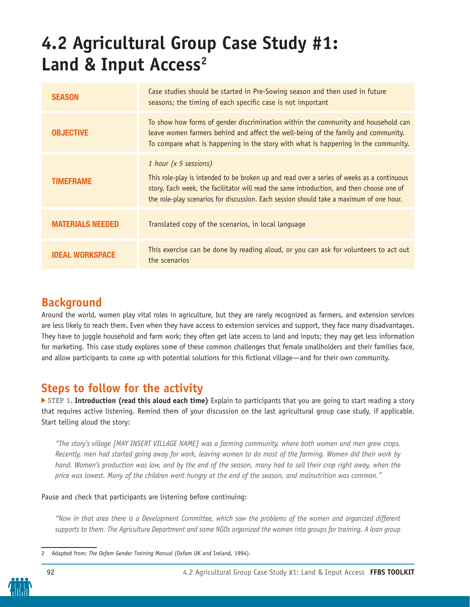# **4.2 Agricultural Group Case Study #1:** Land & Input Access<sup>2</sup>

| <b>SEASON</b>           | Case studies should be started in Pre-Sowing season and then used in future<br>seasons; the timing of each specific case is not important                                                                                                                                                                   |
|-------------------------|-------------------------------------------------------------------------------------------------------------------------------------------------------------------------------------------------------------------------------------------------------------------------------------------------------------|
| <b>OBJECTIVE</b>        | To show how forms of gender discrimination within the community and household can<br>leave women farmers behind and affect the well-being of the family and community.<br>To compare what is happening in the story with what is happening in the community.                                                |
| <b>TIMEFRAME</b>        | 1 hour (x 5 sessions)<br>This role-play is intended to be broken up and read over a series of weeks as a continuous<br>story. Each week, the facilitator will read the same introduction, and then choose one of<br>the role-play scenarios for discussion. Each session should take a maximum of one hour. |
| <b>MATERIALS NEEDED</b> | Translated copy of the scenarios, in local language                                                                                                                                                                                                                                                         |
| IDEAL WORKSPACE         | This exercise can be done by reading aloud, or you can ask for volunteers to act out<br>the scenarios                                                                                                                                                                                                       |

### **Background**

Around the world, women play vital roles in agriculture, but they are rarely recognized as farmers, and extension services are less likely to reach them. Even when they have access to extension services and support, they face many disadvantages. They have to juggle household and farm work; they often get late access to land and inputs; they may get less information for marketing. This case study explores some of these common challenges that female smallholders and their families face, and allow participants to come up with potential solutions for this fictional village—and for their own community.

## **Steps to follow for the activity**

**STEP 1. Introduction (read this aloud each time)** Explain to participants that you are going to start reading a story that requires active listening. Remind them of your discussion on the last agricultural group case study, if applicable. Start telling aloud the story:

*"The story's village [MAY INSERT VILLAGE NAME] was a farming community, where both women and men grew crops. Recently, men had started going away for work, leaving women to do most of the farming. Women did their work by hand. Women's production was low, and by the end of the season, many had to sell their crop right away, when the price was lowest. Many of the children went hungry at the end of the season, and malnutrition was common."*

#### Pause and check that participants are listening before continuing:

*"Now in that area there is a Development Committee, which saw the problems of the women and organized different supports to them. The Agriculture Department and some NGOs organized the women into groups for training. A loan group* 

<sup>2</sup> Adapted from: *The Oxfam Gender Training Manual* (Oxfam UK and Ireland, 1994).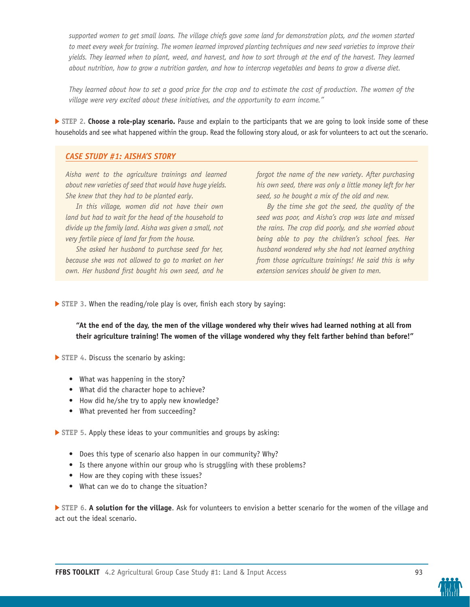supported women to get small loans. The village chiefs gave some land for demonstration plots, and the women started to meet every week for training. The women learned improved planting techniques and new seed varieties to improve their *yields. They learned when to plant, weed, and harvest, and how to sort through at the end of the harvest. They learned about nutrition, how to grow a nutrition garden, and how to intercrop vegetables and beans to grow a diverse diet.*

*They learned about how to set a good price for the crop and to estimate the cost of production. The women of the village were very excited about these initiatives, and the opportunity to earn income."*

**STEP 2. Choose a role-play scenario.** Pause and explain to the participants that we are going to look inside some of these households and see what happened within the group. Read the following story aloud, or ask for volunteers to act out the scenario.

#### *CASE STUDY #1: AISHA'S STORY*

*Aisha went to the agriculture trainings and learned about new varieties of seed that would have huge yields. She knew that they had to be planted early.*

*In this village, women did not have their own land but had to wait for the head of the household to divide up the family land. Aisha was given a small, not very fertile piece of land far from the house.*

*She asked her husband to purchase seed for her, because she was not allowed to go to market on her own. Her husband first bought his own seed, and he* 

*forgot the name of the new variety. After purchasing his own seed, there was only a little money left for her seed, so he bought a mix of the old and new.*

*By the time she got the seed, the quality of the seed was poor, and Aisha's crop was late and missed the rains. The crop did poorly, and she worried about being able to pay the children's school fees. Her husband wondered why she had not learned anything from those agriculture trainings! He said this is why extension services should be given to men.*

 **STEP 3.** When the reading/role play is over, finish each story by saying:

**"At the end of the day, the men of the village wondered why their wives had learned nothing at all from their agriculture training! The women of the village wondered why they felt farther behind than before!"**

**STEP** 4. Discuss the scenario by asking:

- What was happening in the story?
- What did the character hope to achieve?
- How did he/she try to apply new knowledge?
- What prevented her from succeeding?

 **STEP 5.** Apply these ideas to your communities and groups by asking:

- Does this type of scenario also happen in our community? Why?
- Is there anyone within our group who is struggling with these problems?
- How are they coping with these issues?
- What can we do to change the situation?

 **STEP 6. A solution for the village**. Ask for volunteers to envision a better scenario for the women of the village and act out the ideal scenario.

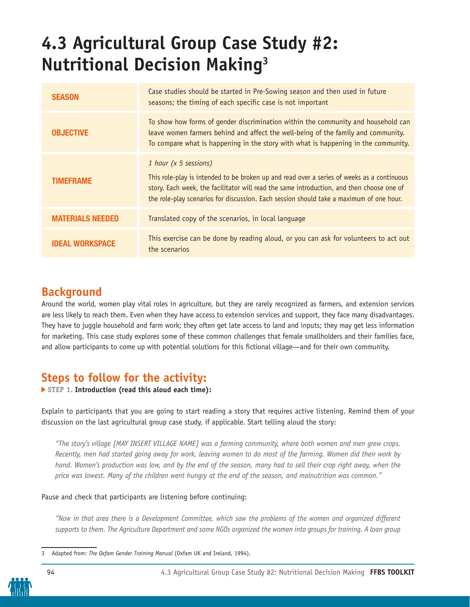# **4.3 Agricultural Group Case Study #2: Nutritional Decision Making3**

| <b>SEASON</b>           | Case studies should be started in Pre-Sowing season and then used in future<br>seasons; the timing of each specific case is not important                                                                                                                                                                   |
|-------------------------|-------------------------------------------------------------------------------------------------------------------------------------------------------------------------------------------------------------------------------------------------------------------------------------------------------------|
| <b>OBJECTIVE</b>        | To show how forms of gender discrimination within the community and household can<br>leave women farmers behind and affect the well-being of the family and community.<br>To compare what is happening in the story with what is happening in the community.                                                |
| TIMEFRAME               | 1 hour (x 5 sessions)<br>This role-play is intended to be broken up and read over a series of weeks as a continuous<br>story. Each week, the facilitator will read the same introduction, and then choose one of<br>the role-play scenarios for discussion. Each session should take a maximum of one hour. |
| <b>MATERIALS NEEDED</b> | Translated copy of the scenarios, in local language                                                                                                                                                                                                                                                         |
| <b>IDEAL WORKSPACE</b>  | This exercise can be done by reading aloud, or you can ask for volunteers to act out<br>the scenarios                                                                                                                                                                                                       |

### **Background**

Around the world, women play vital roles in agriculture, but they are rarely recognized as farmers, and extension services are less likely to reach them. Even when they have access to extension services and support, they face many disadvantages. They have to juggle household and farm work; they often get late access to land and inputs; they may get less information for marketing. This case study explores some of these common challenges that female smallholders and their families face, and allow participants to come up with potential solutions for this fictional village—and for their own community.

## **Steps to follow for the activity:**

 **STEP 1. Introduction (read this aloud each time):**

Explain to participants that you are going to start reading a story that requires active listening. Remind them of your discussion on the last agricultural group case study, if applicable. Start telling aloud the story:

*"The story's village [MAY INSERT VILLAGE NAME] was a farming community, where both women and men grew crops. Recently, men had started going away for work, leaving women to do most of the farming. Women did their work by hand. Women's production was low, and by the end of the season, many had to sell their crop right away, when the price was lowest. Many of the children went hungry at the end of the season, and malnutrition was common."*

#### Pause and check that participants are listening before continuing:

*"Now in that area there is a Development Committee, which saw the problems of the women and organized different supports to them. The Agriculture Department and some NGOs organized the women into groups for training. A loan group* 

<sup>3</sup> Adapted from: *The Oxfam Gender Training Manual* (Oxfam UK and Ireland, 1994).

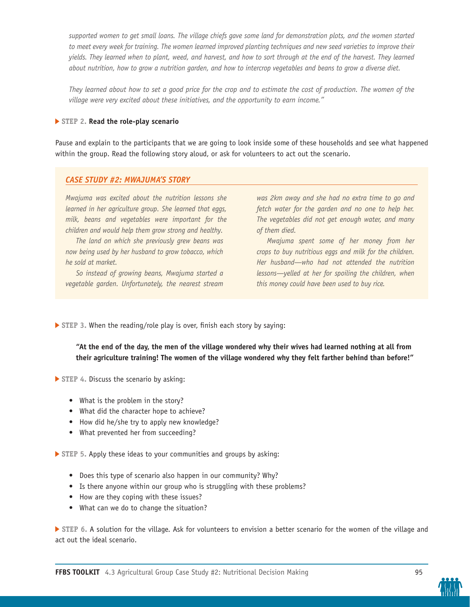*supported women to get small loans. The village chiefs gave some land for demonstration plots, and the women started*  to meet every week for training. The women learned improved planting techniques and new seed varieties to improve their *yields. They learned when to plant, weed, and harvest, and how to sort through at the end of the harvest. They learned about nutrition, how to grow a nutrition garden, and how to intercrop vegetables and beans to grow a diverse diet.*

*They learned about how to set a good price for the crop and to estimate the cost of production. The women of the village were very excited about these initiatives, and the opportunity to earn income."*

#### **STEP 2. Read the role-play scenario**

Pause and explain to the participants that we are going to look inside some of these households and see what happened within the group. Read the following story aloud, or ask for volunteers to act out the scenario.

#### *CASE STUDY #2: MWAJUMA'S STORY*

*Mwajuma was excited about the nutrition lessons she learned in her agriculture group. She learned that eggs, milk, beans and vegetables were important for the children and would help them grow strong and healthy.*

*The land on which she previously grew beans was now being used by her husband to grow tobacco, which he sold at market.* 

*So instead of growing beans, Mwajuma started a vegetable garden. Unfortunately, the nearest stream* 

*was 2km away and she had no extra time to go and fetch water for the garden and no one to help her. The vegetables did not get enough water, and many of them died.*

*Mwajuma spent some of her money from her crops to buy nutritious eggs and milk for the children. Her husband—who had not attended the nutrition lessons—yelled at her for spoiling the children, when this money could have been used to buy rice.* 

**STEP 3. When the reading/role play is over, finish each story by saying:** 

**"At the end of the day, the men of the village wondered why their wives had learned nothing at all from their agriculture training! The women of the village wondered why they felt farther behind than before!"**

**STEP** 4. Discuss the scenario by asking:

- What is the problem in the story?
- What did the character hope to achieve?
- How did he/she try to apply new knowledge?
- What prevented her from succeeding?

 **STEP 5.** Apply these ideas to your communities and groups by asking:

- Does this type of scenario also happen in our community? Why?
- Is there anyone within our group who is struggling with these problems?
- How are they coping with these issues?
- What can we do to change the situation?

 **STEP 6.** A solution for the village. Ask for volunteers to envision a better scenario for the women of the village and act out the ideal scenario.

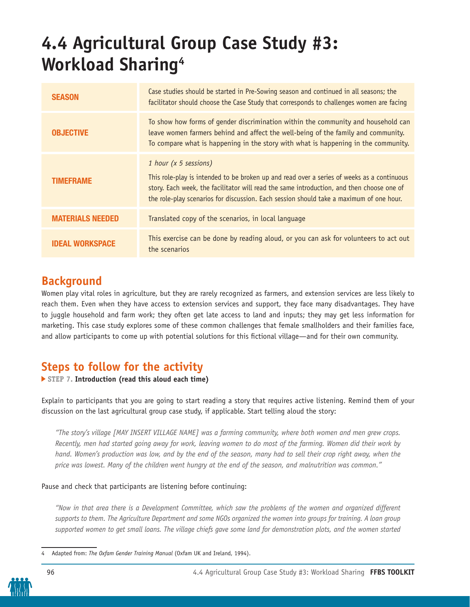# **4.4 Agricultural Group Case Study #3: Workload Sharing4**

| <b>SEASON</b>           | Case studies should be started in Pre-Sowing season and continued in all seasons; the<br>facilitator should choose the Case Study that corresponds to challenges women are facing                                                                                                                           |
|-------------------------|-------------------------------------------------------------------------------------------------------------------------------------------------------------------------------------------------------------------------------------------------------------------------------------------------------------|
| <b>OBJECTIVE</b>        | To show how forms of gender discrimination within the community and household can<br>leave women farmers behind and affect the well-being of the family and community.<br>To compare what is happening in the story with what is happening in the community.                                                |
| <b>TIMEFRAME</b>        | 1 hour (x 5 sessions)<br>This role-play is intended to be broken up and read over a series of weeks as a continuous<br>story. Each week, the facilitator will read the same introduction, and then choose one of<br>the role-play scenarios for discussion. Each session should take a maximum of one hour. |
| <b>MATERIALS NEEDED</b> | Translated copy of the scenarios, in local language                                                                                                                                                                                                                                                         |
| IDEAL WORKSPACE         | This exercise can be done by reading aloud, or you can ask for volunteers to act out<br>the scenarios                                                                                                                                                                                                       |

### **Background**

Women play vital roles in agriculture, but they are rarely recognized as farmers, and extension services are less likely to reach them. Even when they have access to extension services and support, they face many disadvantages. They have to juggle household and farm work; they often get late access to land and inputs; they may get less information for marketing. This case study explores some of these common challenges that female smallholders and their families face, and allow participants to come up with potential solutions for this fictional village—and for their own community.

## **Steps to follow for the activity**

 **STEP 7. Introduction (read this aloud each time)**

Explain to participants that you are going to start reading a story that requires active listening. Remind them of your discussion on the last agricultural group case study, if applicable. Start telling aloud the story:

*"The story's village [MAY INSERT VILLAGE NAME] was a farming community, where both women and men grew crops. Recently, men had started going away for work, leaving women to do most of the farming. Women did their work by hand. Women's production was low, and by the end of the season, many had to sell their crop right away, when the price was lowest. Many of the children went hungry at the end of the season, and malnutrition was common."*

Pause and check that participants are listening before continuing:

*"Now in that area there is a Development Committee, which saw the problems of the women and organized different supports to them. The Agriculture Department and some NGOs organized the women into groups for training. A loan group*  supported women to get small loans. The village chiefs gave some land for demonstration plots, and the women started

<sup>4</sup> Adapted from: *The Oxfam Gender Training Manual* (Oxfam UK and Ireland, 1994).

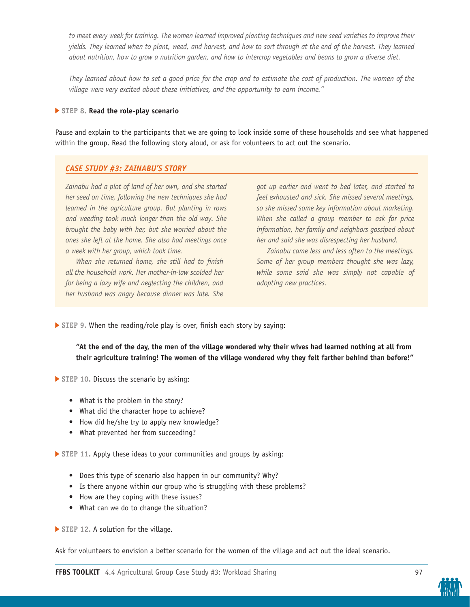*to meet every week for training. The women learned improved planting techniques and new seed varieties to improve their yields. They learned when to plant, weed, and harvest, and how to sort through at the end of the harvest. They learned about nutrition, how to grow a nutrition garden, and how to intercrop vegetables and beans to grow a diverse diet.*

*They learned about how to set a good price for the crop and to estimate the cost of production. The women of the village were very excited about these initiatives, and the opportunity to earn income."*

#### **STEP 8. Read the role-play scenario**

Pause and explain to the participants that we are going to look inside some of these households and see what happened within the group. Read the following story aloud, or ask for volunteers to act out the scenario.

#### *CASE STUDY #3: ZAINABU'S STORY*

*Zainabu had a plot of land of her own, and she started her seed on time, following the new techniques she had learned in the agriculture group. But planting in rows and weeding took much longer than the old way. She brought the baby with her, but she worried about the ones she left at the home. She also had meetings once a week with her group, which took time.* 

*When she returned home, she still had to finish all the household work. Her mother-in-law scolded her for being a lazy wife and neglecting the children, and her husband was angry because dinner was late. She* 

*got up earlier and went to bed later, and started to feel exhausted and sick. She missed several meetings, so she missed some key information about marketing. When she called a group member to ask for price information, her family and neighbors gossiped about her and said she was disrespecting her husband.*

*Zainabu came less and less often to the meetings. Some of her group members thought she was lazy, while some said she was simply not capable of adopting new practices.* 

 **STEP 9.** When the reading/role play is over, finish each story by saying:

**"At the end of the day, the men of the village wondered why their wives had learned nothing at all from their agriculture training! The women of the village wondered why they felt farther behind than before!"**

**STEP 10. Discuss the scenario by asking:** 

- What is the problem in the story?
- What did the character hope to achieve?
- How did he/she try to apply new knowledge?
- What prevented her from succeeding?

 **STEP 11.** Apply these ideas to your communities and groups by asking:

- Does this type of scenario also happen in our community? Why?
- Is there anyone within our group who is struggling with these problems?
- How are they coping with these issues?
- What can we do to change the situation?

**STEP 12. A solution for the village.** 

Ask for volunteers to envision a better scenario for the women of the village and act out the ideal scenario.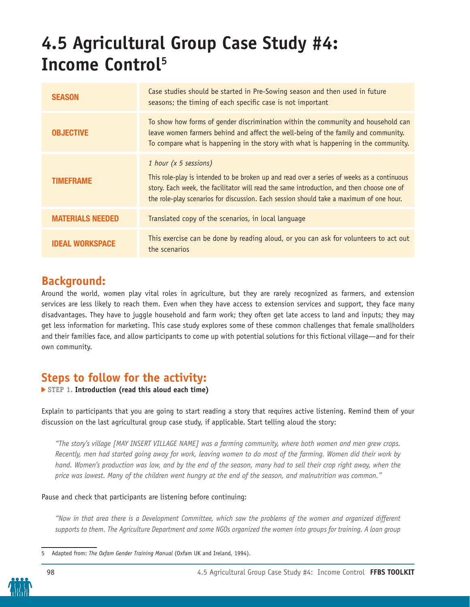# **4.5 Agricultural Group Case Study #4: Income Control5**

| <b>SEASON</b>           | Case studies should be started in Pre-Sowing season and then used in future<br>seasons; the timing of each specific case is not important                                                                                                                                                                   |
|-------------------------|-------------------------------------------------------------------------------------------------------------------------------------------------------------------------------------------------------------------------------------------------------------------------------------------------------------|
| <b>OBJECTIVE</b>        | To show how forms of gender discrimination within the community and household can<br>leave women farmers behind and affect the well-being of the family and community.<br>To compare what is happening in the story with what is happening in the community.                                                |
| <b>TIMEFRAME</b>        | 1 hour (x 5 sessions)<br>This role-play is intended to be broken up and read over a series of weeks as a continuous<br>story. Each week, the facilitator will read the same introduction, and then choose one of<br>the role-play scenarios for discussion. Each session should take a maximum of one hour. |
| <b>MATERIALS NEEDED</b> | Translated copy of the scenarios, in local language                                                                                                                                                                                                                                                         |
| IDEAL WORKSPACE         | This exercise can be done by reading aloud, or you can ask for volunteers to act out<br>the scenarios                                                                                                                                                                                                       |

### **Background:**

Around the world, women play vital roles in agriculture, but they are rarely recognized as farmers, and extension services are less likely to reach them. Even when they have access to extension services and support, they face many disadvantages. They have to juggle household and farm work; they often get late access to land and inputs; they may get less information for marketing. This case study explores some of these common challenges that female smallholders and their families face, and allow participants to come up with potential solutions for this fictional village—and for their own community.

## **Steps to follow for the activity:**

 **STEP 1. Introduction (read this aloud each time)**

Explain to participants that you are going to start reading a story that requires active listening. Remind them of your discussion on the last agricultural group case study, if applicable. Start telling aloud the story:

*"The story's village [MAY INSERT VILLAGE NAME] was a farming community, where both women and men grew crops. Recently, men had started going away for work, leaving women to do most of the farming. Women did their work by hand. Women's production was low, and by the end of the season, many had to sell their crop right away, when the price was lowest. Many of the children went hungry at the end of the season, and malnutrition was common."*

#### Pause and check that participants are listening before continuing:

*"Now in that area there is a Development Committee, which saw the problems of the women and organized different supports to them. The Agriculture Department and some NGOs organized the women into groups for training. A loan group* 

<sup>5</sup> Adapted from: *The Oxfam Gender Training Manual* (Oxfam UK and Ireland, 1994).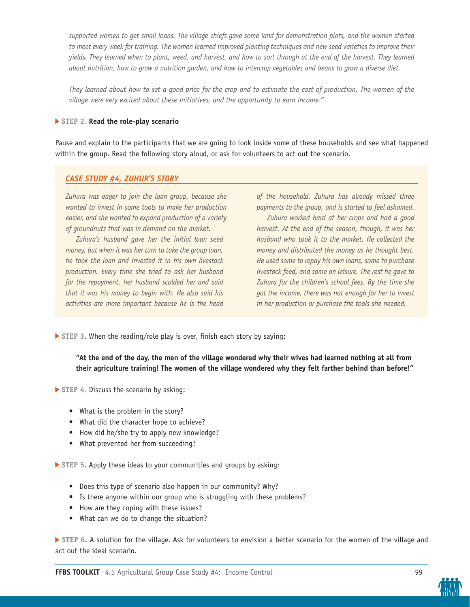supported women to get small loans. The village chiefs gave some land for demonstration plots, and the women started to meet every week for training. The women learned improved planting techniques and new seed varieties to improve their *yields. They learned when to plant, weed, and harvest, and how to sort through at the end of the harvest. They learned about nutrition, how to grow a nutrition garden, and how to intercrop vegetables and beans to grow a diverse diet.*

*They learned about how to set a good price for the crop and to estimate the cost of production. The women of the village were very excited about these initiatives, and the opportunity to earn income."*

#### **STEP 2. Read the role-play scenario**

Pause and explain to the participants that we are going to look inside some of these households and see what happened within the group. Read the following story aloud, or ask for volunteers to act out the scenario.

#### *CASE STUDY #4, ZUHUR'S STORY*

*Zuhura was eager to join the loan group, because she wanted to invest in some tools to make her production easier, and she wanted to expand production of a variety of groundnuts that was in demand on the market.* 

*Zuhura's husband gave her the initial loan seed money, but when it was her turn to take the group loan, he took the loan and invested it in his own livestock production. Every time she tried to ask her husband for the repayment, her husband scolded her and said that it was his money to begin with. He also said his activities are more important because he is the head*  *of the household. Zuhura has already missed three payments to the group, and is started to feel ashamed.* 

*Zuhura worked hard at her crops and had a good harvest. At the end of the season, though, it was her husband who took it to the market. He collected the money and distributed the money as he thought best. He used some to repay his own loans, some to purchase livestock feed, and some on leisure. The rest he gave to Zuhura for the children's school fees. By the time she got the income, there was not enough for her to invest in her production or purchase the tools she needed.* 

 **STEP 3.** When the reading/role play is over, finish each story by saying:

**"At the end of the day, the men of the village wondered why their wives had learned nothing at all from their agriculture training! The women of the village wondered why they felt farther behind than before!"**

**STEP 4. Discuss the scenario by asking:** 

- What is the problem in the story?
- What did the character hope to achieve?
- How did he/she try to apply new knowledge?
- What prevented her from succeeding?

 **STEP 5.** Apply these ideas to your communities and groups by asking:

- Does this type of scenario also happen in our community? Why?
- Is there anyone within our group who is struggling with these problems?
- How are they coping with these issues?
- What can we do to change the situation?

 **STEP 6.** A solution for the village. Ask for volunteers to envision a better scenario for the women of the village and act out the ideal scenario.

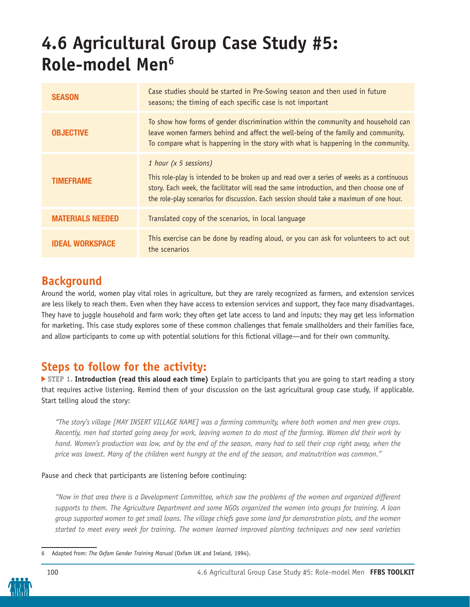# **4.6 Agricultural Group Case Study #5: Role-model Men6**

| <b>SEASON</b>           | Case studies should be started in Pre-Sowing season and then used in future<br>seasons; the timing of each specific case is not important                                                                                                                                                                   |
|-------------------------|-------------------------------------------------------------------------------------------------------------------------------------------------------------------------------------------------------------------------------------------------------------------------------------------------------------|
| <b>OBJECTIVE</b>        | To show how forms of gender discrimination within the community and household can<br>leave women farmers behind and affect the well-being of the family and community.<br>To compare what is happening in the story with what is happening in the community.                                                |
| <b>TIMEFRAME</b>        | 1 hour (x 5 sessions)<br>This role-play is intended to be broken up and read over a series of weeks as a continuous<br>story. Each week, the facilitator will read the same introduction, and then choose one of<br>the role-play scenarios for discussion. Each session should take a maximum of one hour. |
| <b>MATERIALS NEEDED</b> | Translated copy of the scenarios, in local language                                                                                                                                                                                                                                                         |
| IDEAL WORKSPACE         | This exercise can be done by reading aloud, or you can ask for volunteers to act out<br>the scenarios                                                                                                                                                                                                       |

## **Background**

Around the world, women play vital roles in agriculture, but they are rarely recognized as farmers, and extension services are less likely to reach them. Even when they have access to extension services and support, they face many disadvantages. They have to juggle household and farm work; they often get late access to land and inputs; they may get less information for marketing. This case study explores some of these common challenges that female smallholders and their families face, and allow participants to come up with potential solutions for this fictional village—and for their own community.

## **Steps to follow for the activity:**

**STEP 1. Introduction (read this aloud each time)** Explain to participants that you are going to start reading a story that requires active listening. Remind them of your discussion on the last agricultural group case study, if applicable. Start telling aloud the story:

*"The story's village [MAY INSERT VILLAGE NAME] was a farming community, where both women and men grew crops. Recently, men had started going away for work, leaving women to do most of the farming. Women did their work by hand. Women's production was low, and by the end of the season, many had to sell their crop right away, when the price was lowest. Many of the children went hungry at the end of the season, and malnutrition was common."*

#### Pause and check that participants are listening before continuing:

*"Now in that area there is a Development Committee, which saw the problems of the women and organized different supports to them. The Agriculture Department and some NGOs organized the women into groups for training. A loan group supported women to get small loans. The village chiefs gave some land for demonstration plots, and the women started to meet every week for training. The women learned improved planting techniques and new seed varieties* 

<sup>6</sup> Adapted from: *The Oxfam Gender Training Manual* (Oxfam UK and Ireland, 1994).

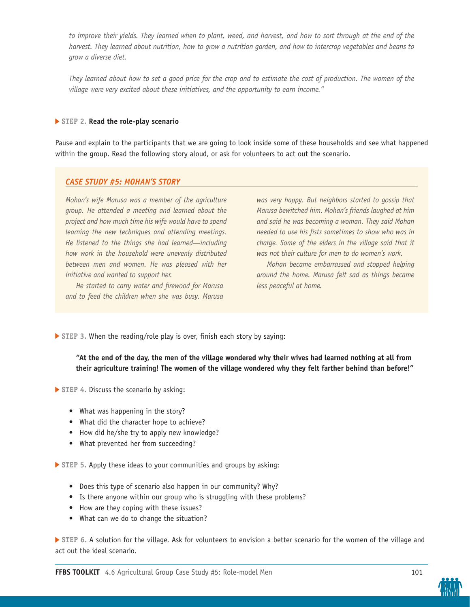to improve their yields. They learned when to plant, weed, and harvest, and how to sort through at the end of the *harvest. They learned about nutrition, how to grow a nutrition garden, and how to intercrop vegetables and beans to grow a diverse diet.*

*They learned about how to set a good price for the crop and to estimate the cost of production. The women of the village were very excited about these initiatives, and the opportunity to earn income."*

#### **STEP 2. Read the role-play scenario**

Pause and explain to the participants that we are going to look inside some of these households and see what happened within the group. Read the following story aloud, or ask for volunteers to act out the scenario.

#### *CASE STUDY #5: MOHAN'S STORY*

*Mohan's wife Marusa was a member of the agriculture group. He attended a meeting and learned about the project and how much time his wife would have to spend learning the new techniques and attending meetings. He listened to the things she had learned—including how work in the household were unevenly distributed between men and women. He was pleased with her initiative and wanted to support her.* 

*He started to carry water and firewood for Marusa and to feed the children when she was busy. Marusa*  *was very happy. But neighbors started to gossip that Marusa bewitched him. Mohan's friends laughed at him and said he was becoming a woman. They said Mohan needed to use his fists sometimes to show who was in charge. Some of the elders in the village said that it was not their culture for men to do women's work.*

*Mohan became embarrassed and stopped helping around the home. Marusa felt sad as things became less peaceful at home.*

 **STEP 3.** When the reading/role play is over, finish each story by saying:

**"At the end of the day, the men of the village wondered why their wives had learned nothing at all from their agriculture training! The women of the village wondered why they felt farther behind than before!"**

**STEP 4. Discuss the scenario by asking:** 

- What was happening in the story?
- What did the character hope to achieve?
- How did he/she try to apply new knowledge?
- What prevented her from succeeding?

 **STEP 5.** Apply these ideas to your communities and groups by asking:

- Does this type of scenario also happen in our community? Why?
- Is there anyone within our group who is struggling with these problems?
- How are they coping with these issues?
- What can we do to change the situation?

 **STEP 6.** A solution for the village. Ask for volunteers to envision a better scenario for the women of the village and act out the ideal scenario.

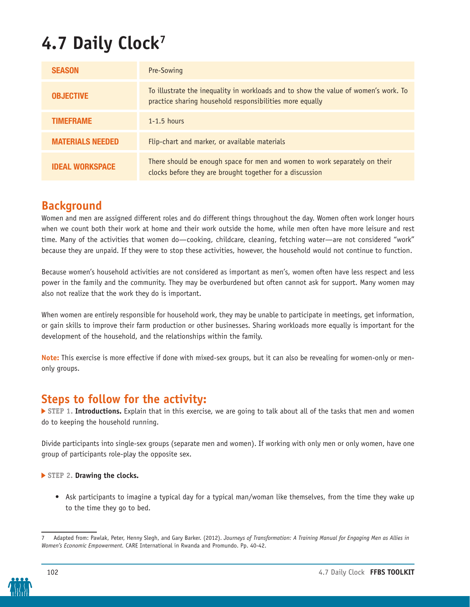# **4.7 Daily Clock7**

| <b>SEASON</b>           | Pre-Sowing                                                                                                                                      |
|-------------------------|-------------------------------------------------------------------------------------------------------------------------------------------------|
| <b>OBJECTIVE</b>        | To illustrate the inequality in workloads and to show the value of women's work. To<br>practice sharing household responsibilities more equally |
| <b>TIMEFRAME</b>        | $1-1.5$ hours                                                                                                                                   |
| <b>MATERIALS NEEDED</b> | Flip-chart and marker, or available materials                                                                                                   |
| <b>IDEAL WORKSPACE</b>  | There should be enough space for men and women to work separately on their<br>clocks before they are brought together for a discussion          |

## **Background**

Women and men are assigned different roles and do different things throughout the day. Women often work longer hours when we count both their work at home and their work outside the home, while men often have more leisure and rest time. Many of the activities that women do—cooking, childcare, cleaning, fetching water—are not considered "work" because they are unpaid. If they were to stop these activities, however, the household would not continue to function.

Because women's household activities are not considered as important as men's, women often have less respect and less power in the family and the community. They may be overburdened but often cannot ask for support. Many women may also not realize that the work they do is important.

When women are entirely responsible for household work, they may be unable to participate in meetings, get information, or gain skills to improve their farm production or other businesses. Sharing workloads more equally is important for the development of the household, and the relationships within the family.

**Note:** This exercise is more effective if done with mixed-sex groups, but it can also be revealing for women-only or menonly groups.

### **Steps to follow for the activity:**

 **STEP 1. Introductions.** Explain that in this exercise, we are going to talk about all of the tasks that men and women do to keeping the household running.

Divide participants into single-sex groups (separate men and women). If working with only men or only women, have one group of participants role-play the opposite sex.

#### **STEP 2. Drawing the clocks.**

• Ask participants to imagine a typical day for a typical man/woman like themselves, from the time they wake up to the time they go to bed.

Adapted from: Pawlak, Peter, Henny Slegh, and Gary Barker. (2012). *Journeys of Transformation: A Training Manual for Engaging Men as Allies in Women's Economic Empowerment.* CARE International in Rwanda and Promundo. Pp. 40-42.

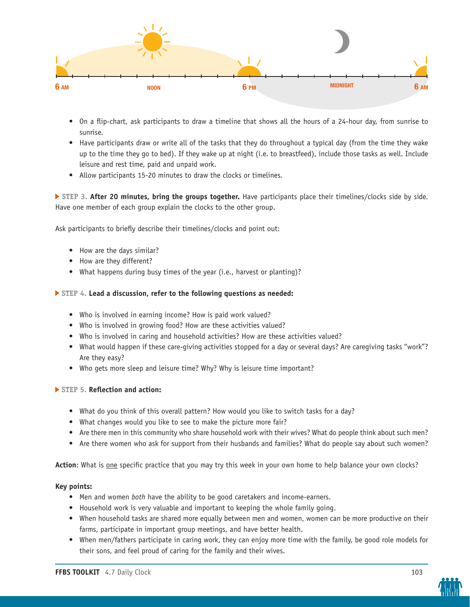

- On a flip-chart, ask participants to draw a timeline that shows all the hours of a 24-hour day, from sunrise to sunrise.
- Have participants draw or write all of the tasks that they do throughout a typical day (from the time they wake up to the time they go to bed). If they wake up at night (i.e. to breastfeed), include those tasks as well. Include leisure and rest time, paid and unpaid work.
- Allow participants 15-20 minutes to draw the clocks or timelines.

 **STEP 3. After 20 minutes, bring the groups together.** Have participants place their timelines/clocks side by side. Have one member of each group explain the clocks to the other group.

Ask participants to briefly describe their timelines/clocks and point out:

- How are the days similar?
- How are they different?
- What happens during busy times of the year (i.e., harvest or planting)?

#### **STEP 4. Lead a discussion, refer to the following questions as needed:**

- Who is involved in earning income? How is paid work valued?
- Who is involved in growing food? How are these activities valued?
- Who is involved in caring and household activities? How are these activities valued?
- What would happen if these care-giving activities stopped for a day or several days? Are caregiving tasks "work"? Are they easy?
- Who gets more sleep and leisure time? Why? Why is leisure time important?

#### **STEP 5. Reflection and action:**

- What do you think of this overall pattern? How would you like to switch tasks for a day?
- What changes would you like to see to make the picture more fair?
- Are there men in this community who share household work with their wives? What do people think about such men?
- Are there women who ask for support from their husbands and families? What do people say about such women?

**Action**: What is one specific practice that you may try this week in your own home to help balance your own clocks?

#### **Key points:**

- Men and women *both* have the ability to be good caretakers and income-earners.
- Household work is very valuable and important to keeping the whole family going.
- When household tasks are shared more equally between men and women, women can be more productive on their farms, participate in important group meetings, and have better health.
- When men/fathers participate in caring work, they can enjoy more time with the family, be good role models for their sons, and feel proud of caring for the family and their wives.

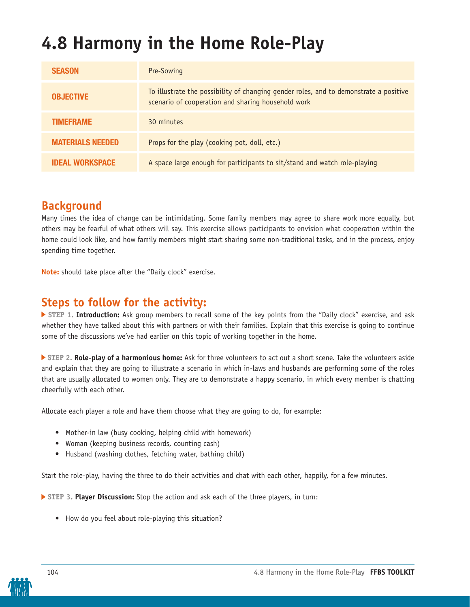# **4.8 Harmony in the Home Role-Play**

| <b>SEASON</b>           | Pre-Sowing                                                                                                                                  |
|-------------------------|---------------------------------------------------------------------------------------------------------------------------------------------|
| <b>OBJECTIVE</b>        | To illustrate the possibility of changing gender roles, and to demonstrate a positive<br>scenario of cooperation and sharing household work |
| <b>TIMEFRAME</b>        | 30 minutes                                                                                                                                  |
| <b>MATERIALS NEEDED</b> | Props for the play (cooking pot, doll, etc.)                                                                                                |
| <b>IDEAL WORKSPACE</b>  | A space large enough for participants to sit/stand and watch role-playing                                                                   |

## **Background**

Many times the idea of change can be intimidating. Some family members may agree to share work more equally, but others may be fearful of what others will say. This exercise allows participants to envision what cooperation within the home could look like, and how family members might start sharing some non-traditional tasks, and in the process, enjoy spending time together.

**Note:** should take place after the "Daily clock" exercise.

### **Steps to follow for the activity:**

 **STEP 1. Introduction:** Ask group members to recall some of the key points from the "Daily clock" exercise, and ask whether they have talked about this with partners or with their families. Explain that this exercise is going to continue some of the discussions we've had earlier on this topic of working together in the home.

 **STEP 2. Role-play of a harmonious home:** Ask for three volunteers to act out a short scene. Take the volunteers aside and explain that they are going to illustrate a scenario in which in-laws and husbands are performing some of the roles that are usually allocated to women only. They are to demonstrate a happy scenario, in which every member is chatting cheerfully with each other.

Allocate each player a role and have them choose what they are going to do, for example:

- Mother-in law (busy cooking, helping child with homework)
- Woman (keeping business records, counting cash)
- Husband (washing clothes, fetching water, bathing child)

Start the role-play, having the three to do their activities and chat with each other, happily, for a few minutes.

 **STEP 3. Player Discussion:** Stop the action and ask each of the three players, in turn:

• How do you feel about role-playing this situation?

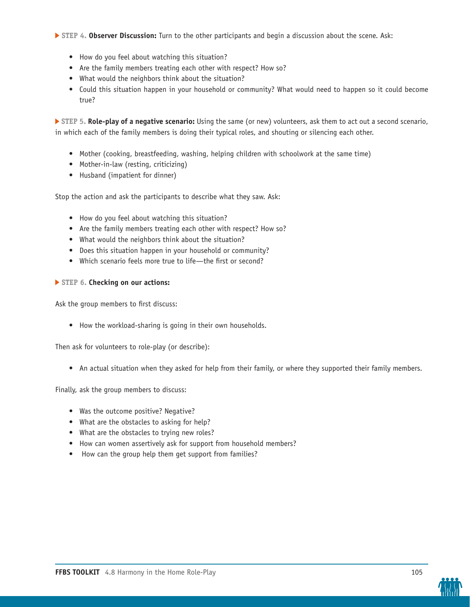**STEP 4. Observer Discussion:** Turn to the other participants and begin a discussion about the scene. Ask:

- How do you feel about watching this situation?
- Are the family members treating each other with respect? How so?
- What would the neighbors think about the situation?
- Could this situation happen in your household or community? What would need to happen so it could become true?

 **STEP 5. Role-play of a negative scenario:** Using the same (or new) volunteers, ask them to act out a second scenario, in which each of the family members is doing their typical roles, and shouting or silencing each other.

- Mother (cooking, breastfeeding, washing, helping children with schoolwork at the same time)
- Mother-in-law (resting, criticizing)
- Husband (impatient for dinner)

Stop the action and ask the participants to describe what they saw. Ask:

- How do you feel about watching this situation?
- Are the family members treating each other with respect? How so?
- What would the neighbors think about the situation?
- Does this situation happen in your household or community?
- Which scenario feels more true to life—the first or second?

#### **STEP 6. Checking on our actions:**

Ask the group members to first discuss:

• How the workload-sharing is going in their own households.

Then ask for volunteers to role-play (or describe):

• An actual situation when they asked for help from their family, or where they supported their family members.

Finally, ask the group members to discuss:

- Was the outcome positive? Negative?
- What are the obstacles to asking for help?
- What are the obstacles to trying new roles?
- How can women assertively ask for support from household members?
- How can the group help them get support from families?

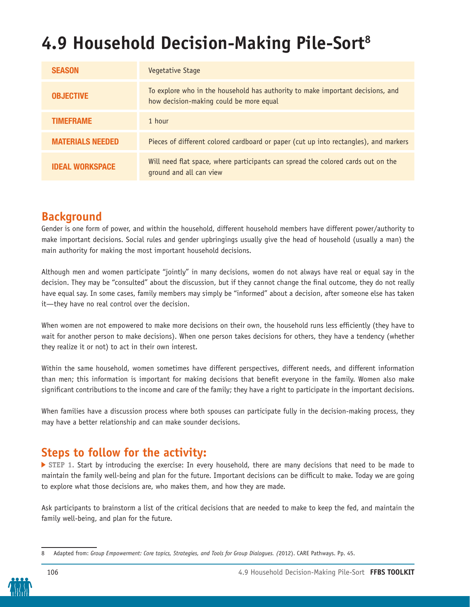# **4.9 Household Decision-Making Pile-Sort8**

| <b>SEASON</b>           | Vegetative Stage                                                                                                          |
|-------------------------|---------------------------------------------------------------------------------------------------------------------------|
| <b>OBJECTIVE</b>        | To explore who in the household has authority to make important decisions, and<br>how decision-making could be more equal |
| <b>TIMEFRAME</b>        | 1 hour                                                                                                                    |
| <b>MATERIALS NEEDED</b> | Pieces of different colored cardboard or paper (cut up into rectangles), and markers                                      |
| <b>IDEAL WORKSPACE</b>  | Will need flat space, where participants can spread the colored cards out on the<br>ground and all can view               |

## **Background**

Gender is one form of power, and within the household, different household members have different power/authority to make important decisions. Social rules and gender upbringings usually give the head of household (usually a man) the main authority for making the most important household decisions.

Although men and women participate "jointly" in many decisions, women do not always have real or equal say in the decision. They may be "consulted" about the discussion, but if they cannot change the final outcome, they do not really have equal say. In some cases, family members may simply be "informed" about a decision, after someone else has taken it—they have no real control over the decision.

When women are not empowered to make more decisions on their own, the household runs less efficiently (they have to wait for another person to make decisions). When one person takes decisions for others, they have a tendency (whether they realize it or not) to act in their own interest.

Within the same household, women sometimes have different perspectives, different needs, and different information than men; this information is important for making decisions that benefit everyone in the family. Women also make significant contributions to the income and care of the family; they have a right to participate in the important decisions.

When families have a discussion process where both spouses can participate fully in the decision-making process, they may have a better relationship and can make sounder decisions.

### **Steps to follow for the activity:**

 **STEP 1.** Start by introducing the exercise: In every household, there are many decisions that need to be made to maintain the family well-being and plan for the future. Important decisions can be difficult to make. Today we are going to explore what those decisions are, who makes them, and how they are made.

Ask participants to brainstorm a list of the critical decisions that are needed to make to keep the fed, and maintain the family well-being, and plan for the future.

<sup>8</sup> Adapted from: *Group Empowerment: Core topics, Strategies, and Tools for Group Dialogues. (*2012). CARE Pathways. Pp. 45.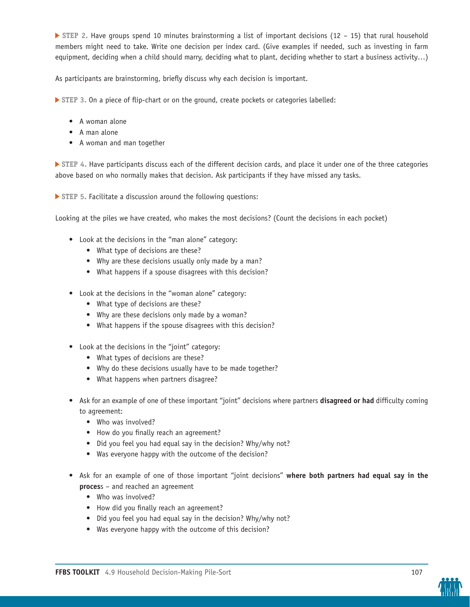**STEP 2.** Have groups spend 10 minutes brainstorming a list of important decisions (12 – 15) that rural household members might need to take. Write one decision per index card. (Give examples if needed, such as investing in farm equipment, deciding when a child should marry, deciding what to plant, deciding whether to start a business activity...)

As participants are brainstorming, briefly discuss why each decision is important.

 **STEP 3.** On a piece of flip-chart or on the ground, create pockets or categories labelled:

- A woman alone
- A man alone
- A woman and man together

 **STEP 4.** Have participants discuss each of the different decision cards, and place it under one of the three categories above based on who normally makes that decision. Ask participants if they have missed any tasks.

 **STEP 5.** Facilitate a discussion around the following questions:

Looking at the piles we have created, who makes the most decisions? (Count the decisions in each pocket)

- Look at the decisions in the "man alone" category:
	- What type of decisions are these?
	- Why are these decisions usually only made by a man?
	- What happens if a spouse disagrees with this decision?
- Look at the decisions in the "woman alone" category:
	- What type of decisions are these?
	- Why are these decisions only made by a woman?
	- What happens if the spouse disagrees with this decision?
- Look at the decisions in the "joint" category:
	- What types of decisions are these?
	- Why do these decisions usually have to be made together?
	- What happens when partners disagree?
- Ask for an example of one of these important "joint" decisions where partners **disagreed or had** difficulty coming to agreement:
	- Who was involved?
	- How do you finally reach an agreement?
	- Did you feel you had equal say in the decision? Why/why not?
	- Was everyone happy with the outcome of the decision?
- Ask for an example of one of those important "joint decisions" **where both partners had equal say in the proces**s – and reached an agreement
	- Who was involved?
	- How did you finally reach an agreement?
	- Did you feel you had equal say in the decision? Why/why not?
	- Was everyone happy with the outcome of this decision?

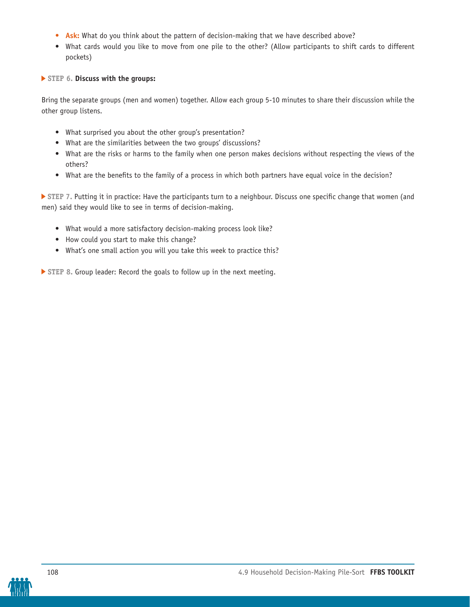- **• Ask:** What do you think about the pattern of decision-making that we have described above?
- What cards would you like to move from one pile to the other? (Allow participants to shift cards to different pockets)

#### **STEP 6. Discuss with the groups:**

Bring the separate groups (men and women) together. Allow each group 5-10 minutes to share their discussion while the other group listens.

- What surprised you about the other group's presentation?
- What are the similarities between the two groups' discussions?
- What are the risks or harms to the family when one person makes decisions without respecting the views of the others?
- What are the benefits to the family of a process in which both partners have equal voice in the decision?

 **STEP 7.** Putting it in practice: Have the participants turn to a neighbour. Discuss one specific change that women (and men) said they would like to see in terms of decision-making.

- What would a more satisfactory decision-making process look like?
- How could you start to make this change?
- What's one small action you will you take this week to practice this?

 **STEP 8.** Group leader: Record the goals to follow up in the next meeting.

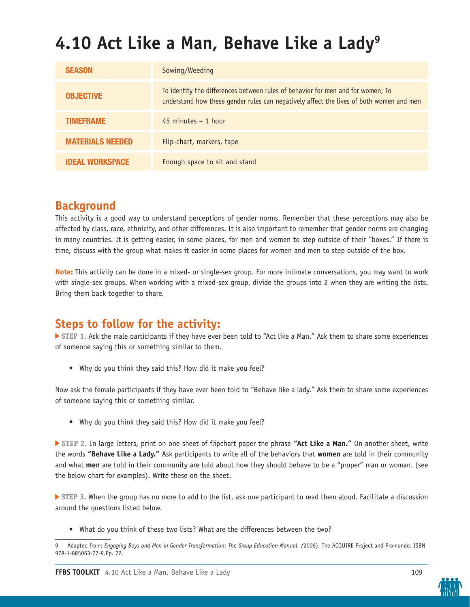# **4.10 Act Like a Man, Behave Like a Lady9**

| <b>SEASON</b>           | Sowing/Weeding                                                                                                                                                             |
|-------------------------|----------------------------------------------------------------------------------------------------------------------------------------------------------------------------|
| <b>OBJECTIVE</b>        | To identity the differences between rules of behavior for men and for women; To<br>understand how these gender rules can negatively affect the lives of both women and men |
| <b>TIMEFRAME</b>        | $45$ minutes $-1$ hour                                                                                                                                                     |
| <b>MATERIALS NEEDED</b> | Flip-chart, markers, tape                                                                                                                                                  |
| <b>IDEAL WORKSPACE</b>  | Enough space to sit and stand                                                                                                                                              |

## **Background**

This activity is a good way to understand perceptions of gender norms. Remember that these perceptions may also be affected by class, race, ethnicity, and other differences. It is also important to remember that gender norms are changing in many countries. It is getting easier, in some places, for men and women to step outside of their "boxes." If there is time, discuss with the group what makes it easier in some places for women and men to step outside of the box.

**Note:** This activity can be done in a mixed- or single-sex group. For more intimate conversations, you may want to work with single-sex groups. When working with a mixed-sex group, divide the groups into 2 when they are writing the lists. Bring them back together to share.

## **Steps to follow for the activity:**

 **STEP 1.** Ask the male participants if they have ever been told to "Act like a Man." Ask them to share some experiences of someone saying this or something similar to them.

• Why do you think they said this? How did it make you feel?

Now ask the female participants if they have ever been told to "Behave like a lady." Ask them to share some experiences of someone saying this or something similar.

• Why do you think they said this? How did it make you feel?

 **STEP 2.** In large letters, print on one sheet of flipchart paper the phrase **"Act Like a Man."** On another sheet, write the words **"Behave Like a Lady."** Ask participants to write all of the behaviors that **women** are told in their community and what **men** are told in their community are told about how they should behave to be a "proper" man or woman. (see the below chart for examples). Write these on the sheet.

 **STEP 3.** When the group has no more to add to the list, ask one participant to read them aloud. Facilitate a discussion around the questions listed below.

• What do you think of these two lists? What are the differences between the two?



<sup>9</sup> Adapted from: *Engaging Boys and Men in Gender Transformation: The Group Education Manual. (*2008). The ACQUIRE Project and Promundo. ISBN 978-1-885063-77-9.Pp. 72.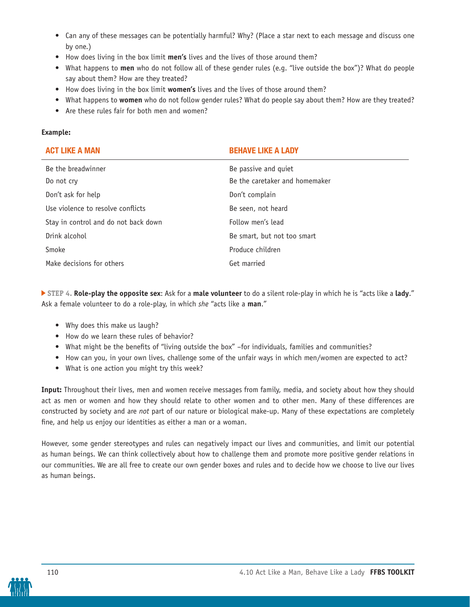- Can any of these messages can be potentially harmful? Why? (Place a star next to each message and discuss one by one.)
- How does living in the box limit **men's** lives and the lives of those around them?
- What happens to **men** who do not follow all of these gender rules (e.g. "live outside the box")? What do people say about them? How are they treated?
- How does living in the box limit **women's** lives and the lives of those around them?
- What happens to **women** who do not follow gender rules? What do people say about them? How are they treated?
- Are these rules fair for both men and women?

#### **Example:**

| <b>ACT LIKE A MAN</b>                | <b>BEHAVE LIKE A LADY</b>      |
|--------------------------------------|--------------------------------|
| Be the breadwinner                   | Be passive and quiet           |
| Do not cry                           | Be the caretaker and homemaker |
| Don't ask for help                   | Don't complain                 |
| Use violence to resolve conflicts    | Be seen, not heard             |
| Stay in control and do not back down | Follow men's lead              |
| Drink alcohol                        | Be smart, but not too smart    |
| Smoke                                | Produce children               |
| Make decisions for others            | Get married                    |

 **STEP 4. Role-play the opposite sex**: Ask for a **male volunteer** to do a silent role-play in which he is "acts like a **lady**." Ask a female volunteer to do a role-play, in which *she* "acts like a **man**."

- Why does this make us laugh?
- How do we learn these rules of behavior?
- What might be the benefits of "living outside the box" –for individuals, families and communities?
- How can you, in your own lives, challenge some of the unfair ways in which men/women are expected to act?
- What is one action you might try this week?

**Input:** Throughout their lives, men and women receive messages from family, media, and society about how they should act as men or women and how they should relate to other women and to other men. Many of these differences are constructed by society and are *not* part of our nature or biological make-up. Many of these expectations are completely fine, and help us enjoy our identities as either a man or a woman.

However, some gender stereotypes and rules can negatively impact our lives and communities, and limit our potential as human beings. We can think collectively about how to challenge them and promote more positive gender relations in our communities. We are all free to create our own gender boxes and rules and to decide how we choose to live our lives as human beings.

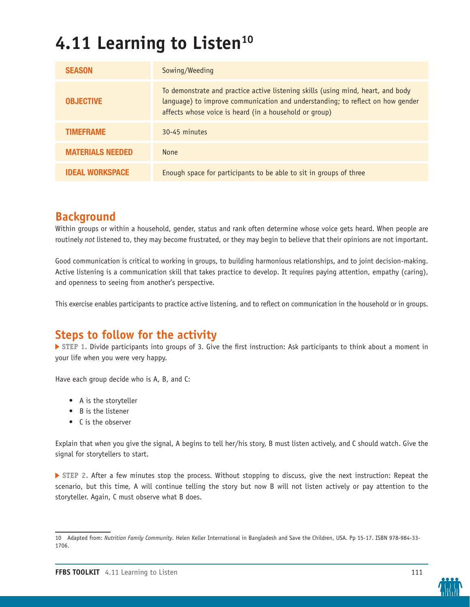# **4.11 Learning to Listen<sup>10</sup>**

| <b>SEASON</b>           | Sowing/Weeding                                                                                                                                                                                                               |
|-------------------------|------------------------------------------------------------------------------------------------------------------------------------------------------------------------------------------------------------------------------|
| <b>OBJECTIVE</b>        | To demonstrate and practice active listening skills (using mind, heart, and body<br>language) to improve communication and understanding; to reflect on how gender<br>affects whose voice is heard (in a household or group) |
| <b>TIMEFRAME</b>        | 30-45 minutes                                                                                                                                                                                                                |
| <b>MATERIALS NEEDED</b> | <b>None</b>                                                                                                                                                                                                                  |
| <b>IDEAL WORKSPACE</b>  | Enough space for participants to be able to sit in groups of three                                                                                                                                                           |

### **Background**

Within groups or within a household, gender, status and rank often determine whose voice gets heard. When people are routinely *not* listened to, they may become frustrated, or they may begin to believe that their opinions are not important.

Good communication is critical to working in groups, to building harmonious relationships, and to joint decision-making. Active listening is a communication skill that takes practice to develop. It requires paying attention, empathy (caring), and openness to seeing from another's perspective.

This exercise enables participants to practice active listening, and to reflect on communication in the household or in groups.

### **Steps to follow for the activity**

 **STEP 1.** Divide participants into groups of 3. Give the first instruction: Ask participants to think about a moment in your life when you were very happy.

Have each group decide who is A, B, and C:

- A is the storyteller
- B is the listener
- C is the observer

Explain that when you give the signal, A begins to tell her/his story, B must listen actively, and C should watch. Give the signal for storytellers to start.

 **STEP 2.** After a few minutes stop the process. Without stopping to discuss, give the next instruction: Repeat the scenario, but this time, A will continue telling the story but now B will not listen actively or pay attention to the storyteller. Again, C must observe what B does.



<sup>10</sup> Adapted from: *Nutrition Family Community.* Helen Keller International in Bangladesh and Save the Children, USA. Pp 15-17. ISBN 978-984-33- 1706.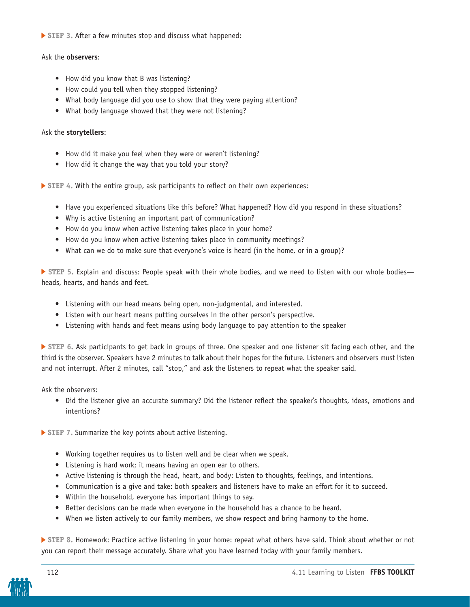**STEP 3.** After a few minutes stop and discuss what happened:

#### Ask the **observers**:

- How did you know that B was listening?
- How could you tell when they stopped listening?
- What body language did you use to show that they were paying attention?
- What body language showed that they were not listening?

#### Ask the **storytellers**:

- How did it make you feel when they were or weren't listening?
- How did it change the way that you told your story?

 **STEP 4.** With the entire group, ask participants to reflect on their own experiences:

- Have you experienced situations like this before? What happened? How did you respond in these situations?
- Why is active listening an important part of communication?
- How do you know when active listening takes place in your home?
- How do you know when active listening takes place in community meetings?
- What can we do to make sure that everyone's voice is heard (in the home, or in a group)?

**▶ STEP 5. Explain and discuss: People speak with their whole bodies, and we need to listen with our whole bodies** heads, hearts, and hands and feet.

- Listening with our head means being open, non-judgmental, and interested.
- Listen with our heart means putting ourselves in the other person's perspective.
- Listening with hands and feet means using body language to pay attention to the speaker

 **STEP 6.** Ask participants to get back in groups of three. One speaker and one listener sit facing each other, and the third is the observer. Speakers have 2 minutes to talk about their hopes for the future. Listeners and observers must listen and not interrupt. After 2 minutes, call "stop," and ask the listeners to repeat what the speaker said.

Ask the observers:

• Did the listener give an accurate summary? Did the listener reflect the speaker's thoughts, ideas, emotions and intentions?

 **STEP 7.** Summarize the key points about active listening.

- Working together requires us to listen well and be clear when we speak.
- Listening is hard work; it means having an open ear to others.
- Active listening is through the head, heart, and body: Listen to thoughts, feelings, and intentions.
- Communication is a give and take: both speakers and listeners have to make an effort for it to succeed.
- Within the household, everyone has important things to say.
- Better decisions can be made when everyone in the household has a chance to be heard.
- When we listen actively to our family members, we show respect and bring harmony to the home.

 **STEP 8.** Homework: Practice active listening in your home: repeat what others have said. Think about whether or not you can report their message accurately. Share what you have learned today with your family members.

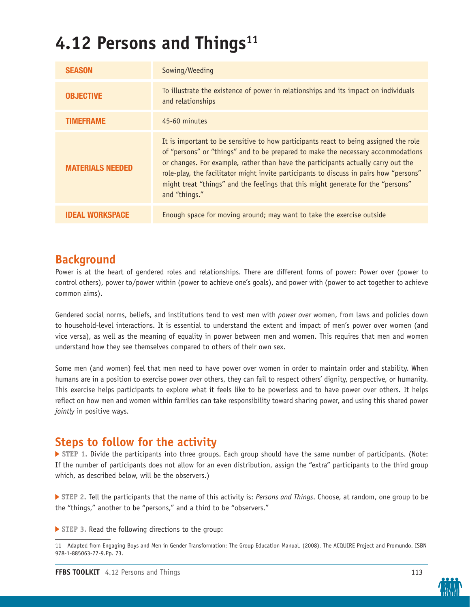# 4.12 Persons and Things<sup>11</sup>

| <b>SEASON</b>           | Sowing/Weeding                                                                                                                                                                                                                                                                                                                                                                                                                                               |
|-------------------------|--------------------------------------------------------------------------------------------------------------------------------------------------------------------------------------------------------------------------------------------------------------------------------------------------------------------------------------------------------------------------------------------------------------------------------------------------------------|
| <b>OBJECTIVE</b>        | To illustrate the existence of power in relationships and its impact on individuals<br>and relationships                                                                                                                                                                                                                                                                                                                                                     |
| <b>TIMEFRAME</b>        | 45-60 minutes                                                                                                                                                                                                                                                                                                                                                                                                                                                |
| <b>MATERIALS NEEDED</b> | It is important to be sensitive to how participants react to being assigned the role<br>of "persons" or "things" and to be prepared to make the necessary accommodations<br>or changes. For example, rather than have the participants actually carry out the<br>role-play, the facilitator might invite participants to discuss in pairs how "persons"<br>might treat "things" and the feelings that this might generate for the "persons"<br>and "things." |
| <b>IDEAL WORKSPACE</b>  | Enough space for moving around; may want to take the exercise outside                                                                                                                                                                                                                                                                                                                                                                                        |

### **Background**

Power is at the heart of gendered roles and relationships. There are different forms of power: Power over (power to control others), power to/power within (power to achieve one's goals), and power with (power to act together to achieve common aims).

Gendered social norms, beliefs, and institutions tend to vest men with *power over* women, from laws and policies down to household-level interactions. It is essential to understand the extent and impact of men's power over women (and vice versa), as well as the meaning of equality in power between men and women. This requires that men and women understand how they see themselves compared to others of their own sex.

Some men (and women) feel that men need to have power over women in order to maintain order and stability. When humans are in a position to exercise power *over* others, they can fail to respect others' dignity, perspective, or humanity. This exercise helps participants to explore what it feels like to be powerless and to have power over others. It helps reflect on how men and women within families can take responsibility toward sharing power, and using this shared power *jointly* in positive ways.

## **Steps to follow for the activity**

 **STEP 1.** Divide the participants into three groups. Each group should have the same number of participants. (Note: If the number of participants does not allow for an even distribution, assign the "extra" participants to the third group which, as described below, will be the observers.)

 **STEP 2.** Tell the participants that the name of this activity is: *Persons and Things*. Choose, at random, one group to be the "things," another to be "persons," and a third to be "observers."

 **STEP 3.** Read the following directions to the group:



<sup>11</sup> Adapted from Engaging Boys and Men in Gender Transformation: The Group Education Manual. (2008). The ACQUIRE Project and Promundo. ISBN 978-1-885063-77-9.Pp. 73.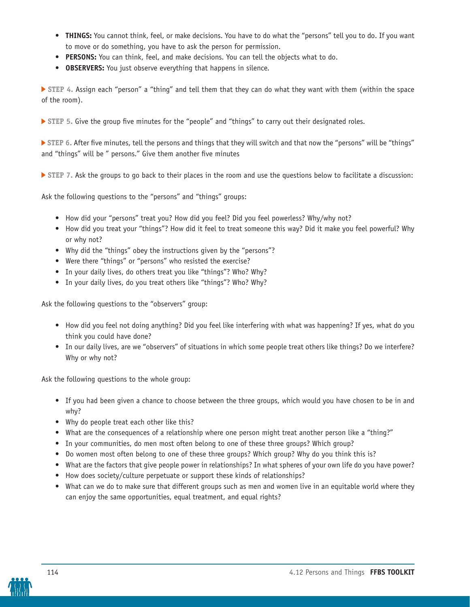- **• THINGS:** You cannot think, feel, or make decisions. You have to do what the "persons" tell you to do. If you want to move or do something, you have to ask the person for permission.
- **• PERSONS:** You can think, feel, and make decisions. You can tell the objects what to do.
- **• OBSERVERS:** You just observe everything that happens in silence.

 **STEP 4.** Assign each "person" a "thing" and tell them that they can do what they want with them (within the space of the room).

**STEP 5. Give the group five minutes for the "people" and "things" to carry out their designated roles.** 

 **STEP 6.** After five minutes, tell the persons and things that they will switch and that now the "persons" will be "things" and "things" will be " persons." Give them another five minutes

 **STEP 7.** Ask the groups to go back to their places in the room and use the questions below to facilitate a discussion:

Ask the following questions to the "persons" and "things" groups:

- How did your "persons" treat you? How did you feel? Did you feel powerless? Why/why not?
- How did you treat your "things"? How did it feel to treat someone this way? Did it make you feel powerful? Why or why not?
- Why did the "things" obey the instructions given by the "persons"?
- Were there "things" or "persons" who resisted the exercise?
- In your daily lives, do others treat you like "things"? Who? Why?
- In your daily lives, do you treat others like "things"? Who? Why?

Ask the following questions to the "observers" group:

- How did you feel not doing anything? Did you feel like interfering with what was happening? If yes, what do you think you could have done?
- In our daily lives, are we "observers" of situations in which some people treat others like things? Do we interfere? Why or why not?

Ask the following questions to the whole group:

- If you had been given a chance to choose between the three groups, which would you have chosen to be in and why?
- Why do people treat each other like this?
- What are the consequences of a relationship where one person might treat another person like a "thing?"
- In your communities, do men most often belong to one of these three groups? Which group?
- Do women most often belong to one of these three groups? Which group? Why do you think this is?
- What are the factors that give people power in relationships? In what spheres of your own life do you have power?
- How does society/culture perpetuate or support these kinds of relationships?
- What can we do to make sure that different groups such as men and women live in an equitable world where they can enjoy the same opportunities, equal treatment, and equal rights?

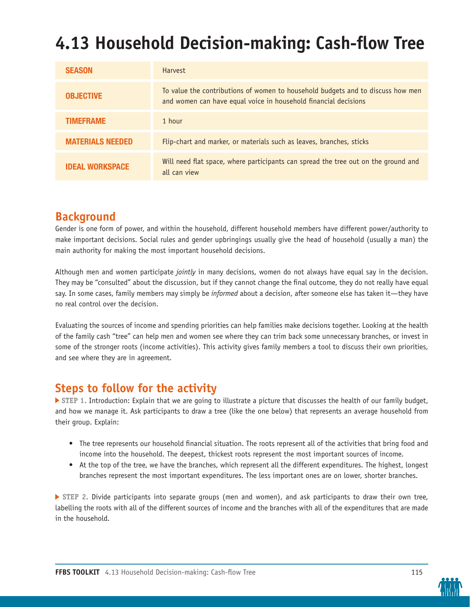# **4.13 Household Decision-making: Cash-flow Tree**

| <b>SEASON</b>           | <b>Harvest</b>                                                                                                                                     |
|-------------------------|----------------------------------------------------------------------------------------------------------------------------------------------------|
| <b>OBJECTIVE</b>        | To value the contributions of women to household budgets and to discuss how men<br>and women can have equal voice in household financial decisions |
| <b>TIMEFRAME</b>        | 1 hour                                                                                                                                             |
| <b>MATERIALS NEEDED</b> | Flip-chart and marker, or materials such as leaves, branches, sticks                                                                               |
| <b>IDEAL WORKSPACE</b>  | Will need flat space, where participants can spread the tree out on the ground and<br>all can view                                                 |

### **Background**

Gender is one form of power, and within the household, different household members have different power/authority to make important decisions. Social rules and gender upbringings usually give the head of household (usually a man) the main authority for making the most important household decisions.

Although men and women participate *jointly* in many decisions, women do not always have equal say in the decision. They may be "consulted" about the discussion, but if they cannot change the final outcome, they do not really have equal say. In some cases, family members may simply be *informed* about a decision, after someone else has taken it—they have no real control over the decision.

Evaluating the sources of income and spending priorities can help families make decisions together. Looking at the health of the family cash "tree" can help men and women see where they can trim back some unnecessary branches, or invest in some of the stronger roots (income activities). This activity gives family members a tool to discuss their own priorities, and see where they are in agreement.

### **Steps to follow for the activity**

 **STEP 1.** Introduction: Explain that we are going to illustrate a picture that discusses the health of our family budget, and how we manage it. Ask participants to draw a tree (like the one below) that represents an average household from their group. Explain:

- The tree represents our household financial situation. The roots represent all of the activities that bring food and income into the household. The deepest, thickest roots represent the most important sources of income.
- At the top of the tree, we have the branches, which represent all the different expenditures. The highest, longest branches represent the most important expenditures. The less important ones are on lower, shorter branches.

**STEP 2. Divide participants into separate groups (men and women), and ask participants to draw their own tree,** labelling the roots with all of the different sources of income and the branches with all of the expenditures that are made in the household.

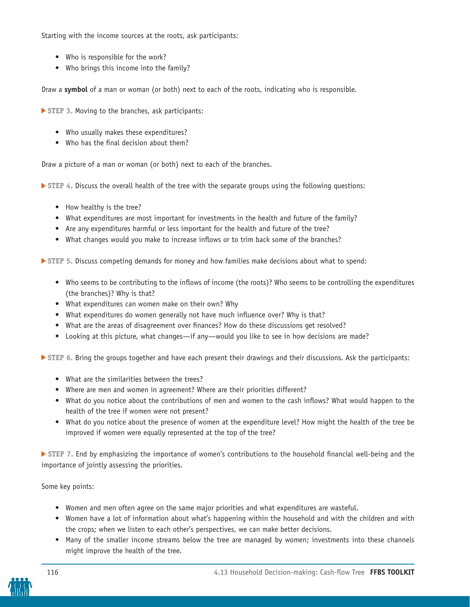Starting with the income sources at the roots, ask participants:

- Who is responsible for the work?
- Who brings this income into the family?

Draw a **symbol** of a man or woman (or both) next to each of the roots, indicating who is responsible.

- **STEP 3.** Moving to the branches, ask participants:
	- Who usually makes these expenditures?
	- Who has the final decision about them?

Draw a picture of a man or woman (or both) next to each of the branches.

 **STEP 4.** Discuss the overall health of the tree with the separate groups using the following questions:

- How healthy is the tree?
- What expenditures are most important for investments in the health and future of the family?
- Are any expenditures harmful or less important for the health and future of the tree?
- What changes would you make to increase inflows or to trim back some of the branches?

 **STEP 5.** Discuss competing demands for money and how families make decisions about what to spend:

- Who seems to be contributing to the inflows of income (the roots)? Who seems to be controlling the expenditures (the branches)? Why is that?
- What expenditures can women make on their own? Why
- What expenditures do women generally not have much influence over? Why is that?
- What are the areas of disagreement over finances? How do these discussions get resolved?
- Looking at this picture, what changes—if any—would you like to see in how decisions are made?

 **STEP 6.** Bring the groups together and have each present their drawings and their discussions. Ask the participants:

- What are the similarities between the trees?
- Where are men and women in agreement? Where are their priorities different?
- What do you notice about the contributions of men and women to the cash inflows? What would happen to the health of the tree if women were not present?
- What do you notice about the presence of women at the expenditure level? How might the health of the tree be improved if women were equally represented at the top of the tree?

 **STEP 7.** End by emphasizing the importance of women's contributions to the household financial well-being and the importance of jointly assessing the priorities.

#### Some key points:

- Women and men often agree on the same major priorities and what expenditures are wasteful.
- Women have a lot of information about what's happening within the household and with the children and with the crops; when we listen to each other's perspectives, we can make better decisions.
- Many of the smaller income streams below the tree are managed by women; investments into these channels might improve the health of the tree.

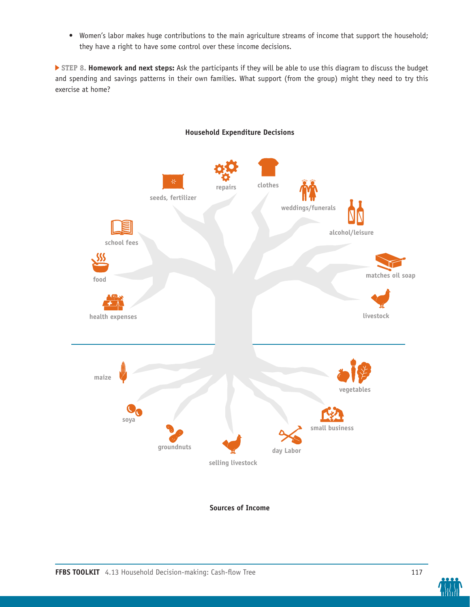• Women's labor makes huge contributions to the main agriculture streams of income that support the household; they have a right to have some control over these income decisions.

 **STEP 8. Homework and next steps:** Ask the participants if they will be able to use this diagram to discuss the budget and spending and savings patterns in their own families. What support (from the group) might they need to try this exercise at home?



#### **Household Expenditure Decisions**

**Sources of Income**

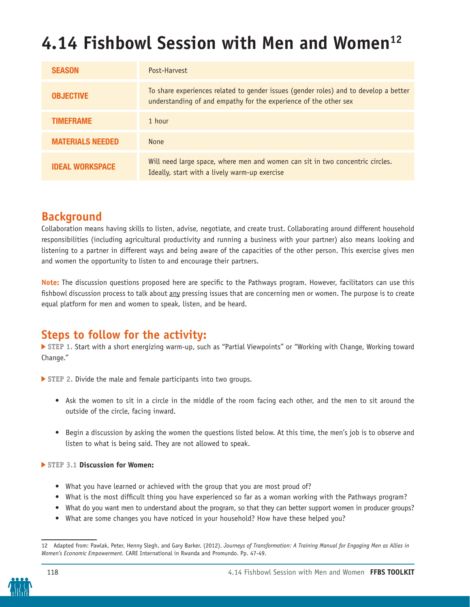# 4.14 Fishbowl Session with Men and Women<sup>12</sup>

| <b>SEASON</b>           | Post-Harvest                                                                                                                                             |
|-------------------------|----------------------------------------------------------------------------------------------------------------------------------------------------------|
| <b>OBJECTIVE</b>        | To share experiences related to gender issues (gender roles) and to develop a better<br>understanding of and empathy for the experience of the other sex |
| <b>TIMEFRAME</b>        | 1 hour                                                                                                                                                   |
| <b>MATERIALS NEEDED</b> | <b>None</b>                                                                                                                                              |
| <b>IDEAL WORKSPACE</b>  | Will need large space, where men and women can sit in two concentric circles.<br>Ideally, start with a lively warm-up exercise                           |

### **Background**

Collaboration means having skills to listen, advise, negotiate, and create trust. Collaborating around different household responsibilities (including agricultural productivity and running a business with your partner) also means looking and listening to a partner in different ways and being aware of the capacities of the other person. This exercise gives men and women the opportunity to listen to and encourage their partners.

**Note:** The discussion questions proposed here are specific to the Pathways program. However, facilitators can use this fishbowl discussion process to talk about any pressing issues that are concerning men or women. The purpose is to create equal platform for men and women to speak, listen, and be heard.

### **Steps to follow for the activity:**

 **STEP 1.** Start with a short energizing warm-up, such as "Partial Viewpoints" or "Working with Change, Working toward Change."

 **STEP 2.** Divide the male and female participants into two groups.

- Ask the women to sit in a circle in the middle of the room facing each other, and the men to sit around the outside of the circle, facing inward.
- Begin a discussion by asking the women the questions listed below. At this time, the men's job is to observe and listen to what is being said. They are not allowed to speak.

#### **STEP 3.1 Discussion for Women:**

- What you have learned or achieved with the group that you are most proud of?
- What is the most difficult thing you have experienced so far as a woman working with the Pathways program?
- What do you want men to understand about the program, so that they can better support women in producer groups?
- What are some changes you have noticed in your household? How have these helped you?

<sup>12</sup> Adapted from: Pawlak, Peter, Henny Slegh, and Gary Barker. (2012). *Journeys of Transformation: A Training Manual for Engaging Men as Allies in Women's Economic Empowerment.* CARE International in Rwanda and Promundo. Pp. 47-49.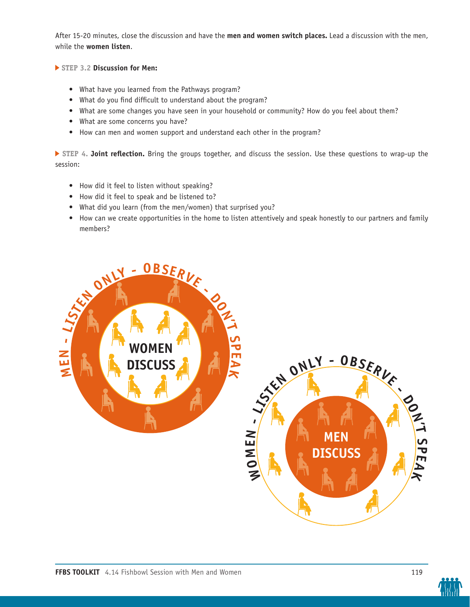After 15-20 minutes, close the discussion and have the **men and women switch places.** Lead a discussion with the men, while the **women listen**.

 **STEP 3.2 Discussion for Men:**

- What have you learned from the Pathways program?
- What do you find difficult to understand about the program?
- What are some changes you have seen in your household or community? How do you feel about them?
- What are some concerns you have?
- How can men and women support and understand each other in the program?

 **STEP 4. Joint reflection.** Bring the groups together, and discuss the session. Use these questions to wrap-up the session:

- How did it feel to listen without speaking?
- How did it feel to speak and be listened to?
- What did you learn (from the men/women) that surprised you?
- How can we create opportunities in the home to listen attentively and speak honestly to our partners and family members?



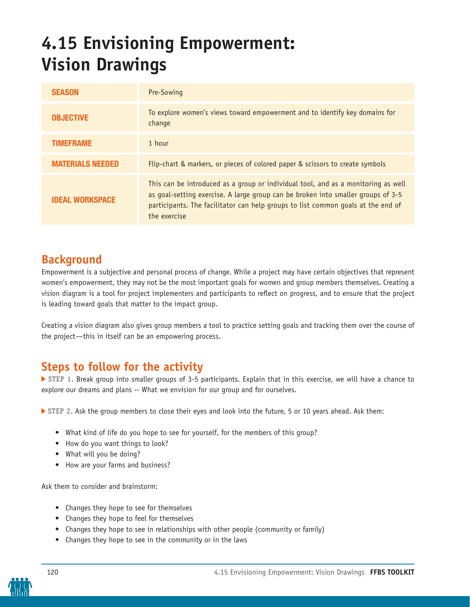# **4.15 Envisioning Empowerment: Vision Drawings**

| <b>SEASON</b>           | Pre-Sowing                                                                                                                                                                                                                                                                |
|-------------------------|---------------------------------------------------------------------------------------------------------------------------------------------------------------------------------------------------------------------------------------------------------------------------|
| <b>OBJECTIVE</b>        | To explore women's views toward empowerment and to identify key domains for<br>change                                                                                                                                                                                     |
| <b>TIMEFRAME</b>        | 1 hour                                                                                                                                                                                                                                                                    |
| <b>MATERIALS NEEDED</b> | Flip-chart & markers, or pieces of colored paper & scissors to create symbols                                                                                                                                                                                             |
| <b>IDEAL WORKSPACE</b>  | This can be introduced as a group or individual tool, and as a monitoring as well<br>as goal-setting exercise. A large group can be broken into smaller groups of 3-5<br>participants. The facilitator can help groups to list common goals at the end of<br>the exercise |

## **Background**

Empowerment is a subjective and personal process of change. While a project may have certain objectives that represent women's empowerment, they may not be the most important goals for women and group members themselves. Creating a vision diagram is a tool for project implementers and participants to reflect on progress, and to ensure that the project is leading toward goals that matter to the impact group.

Creating a vision diagram also gives group members a tool to practice setting goals and tracking them over the course of the project—this in itself can be an empowering process.

## **Steps to follow for the activity**

 **STEP 1.** Break group into smaller groups of 3-5 participants. Explain that in this exercise, we will have a chance to explore our dreams and plans -- What we envision for our group and for ourselves.

**STEP 2. Ask the group members to close their eyes and look into the future, 5 or 10 years ahead. Ask them:** 

- What kind of life do you hope to see for yourself, for the members of this group?
- How do you want things to look?
- What will you be doing?
- How are your farms and business?

Ask them to consider and brainstorm:

- Changes they hope to see for themselves
- Changes they hope to feel for themselves
- Changes they hope to see in relationships with other people (community or family)
- Changes they hope to see in the community or in the laws